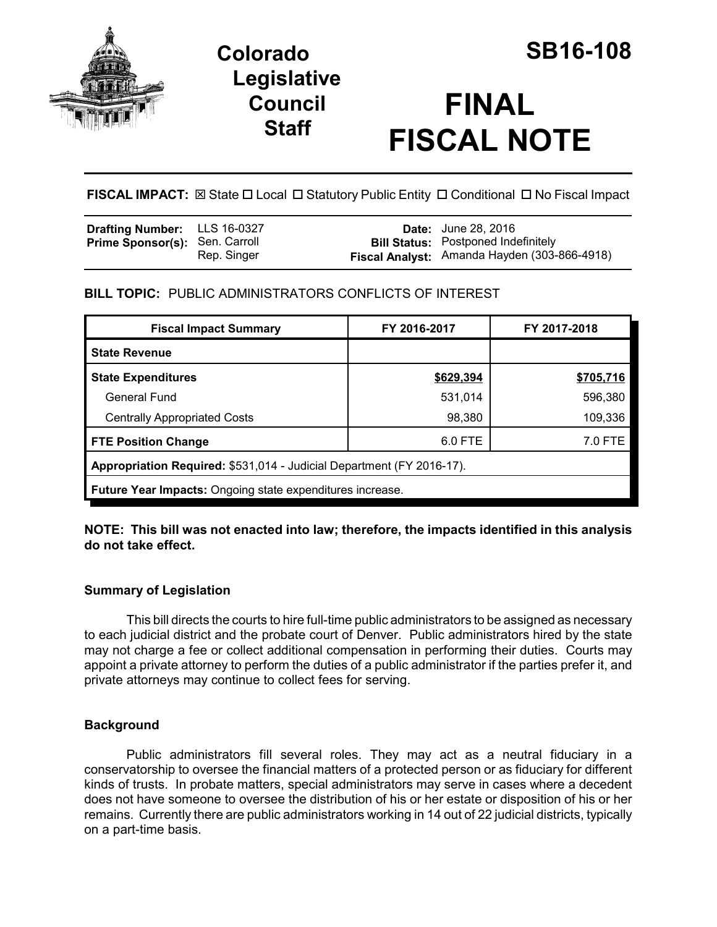

# **Colorado SB16-108 Legislative Council Staff**

# **FINAL FISCAL NOTE**

**FISCAL IMPACT:** ⊠ State □ Local □ Statutory Public Entity □ Conditional □ No Fiscal Impact

| <b>Drafting Number:</b> LLS 16-0327   |             | <b>Date:</b> June 28, 2016                   |
|---------------------------------------|-------------|----------------------------------------------|
| <b>Prime Sponsor(s): Sen. Carroll</b> |             | <b>Bill Status:</b> Postponed Indefinitely   |
|                                       | Rep. Singer | Fiscal Analyst: Amanda Hayden (303-866-4918) |

# **BILL TOPIC:** PUBLIC ADMINISTRATORS CONFLICTS OF INTEREST

| <b>Fiscal Impact Summary</b>                                          | FY 2016-2017 | FY 2017-2018 |  |  |  |
|-----------------------------------------------------------------------|--------------|--------------|--|--|--|
| <b>State Revenue</b>                                                  |              |              |  |  |  |
| <b>State Expenditures</b>                                             | \$629,394    | \$705,716    |  |  |  |
| General Fund                                                          | 531,014      | 596.380      |  |  |  |
| <b>Centrally Appropriated Costs</b>                                   | 98,380       | 109,336      |  |  |  |
| <b>FTE Position Change</b>                                            | 6.0 FTE      | 7.0 FTE      |  |  |  |
| Appropriation Required: \$531,014 - Judicial Department (FY 2016-17). |              |              |  |  |  |
| <b>Future Year Impacts: Ongoing state expenditures increase.</b>      |              |              |  |  |  |

#### **NOTE: This bill was not enacted into law; therefore, the impacts identified in this analysis do not take effect.**

# **Summary of Legislation**

This bill directs the courts to hire full-time public administrators to be assigned as necessary to each judicial district and the probate court of Denver. Public administrators hired by the state may not charge a fee or collect additional compensation in performing their duties. Courts may appoint a private attorney to perform the duties of a public administrator if the parties prefer it, and private attorneys may continue to collect fees for serving.

# **Background**

Public administrators fill several roles. They may act as a neutral fiduciary in a conservatorship to oversee the financial matters of a protected person or as fiduciary for different kinds of trusts. In probate matters, special administrators may serve in cases where a decedent does not have someone to oversee the distribution of his or her estate or disposition of his or her remains. Currently there are public administrators working in 14 out of 22 judicial districts, typically on a part-time basis.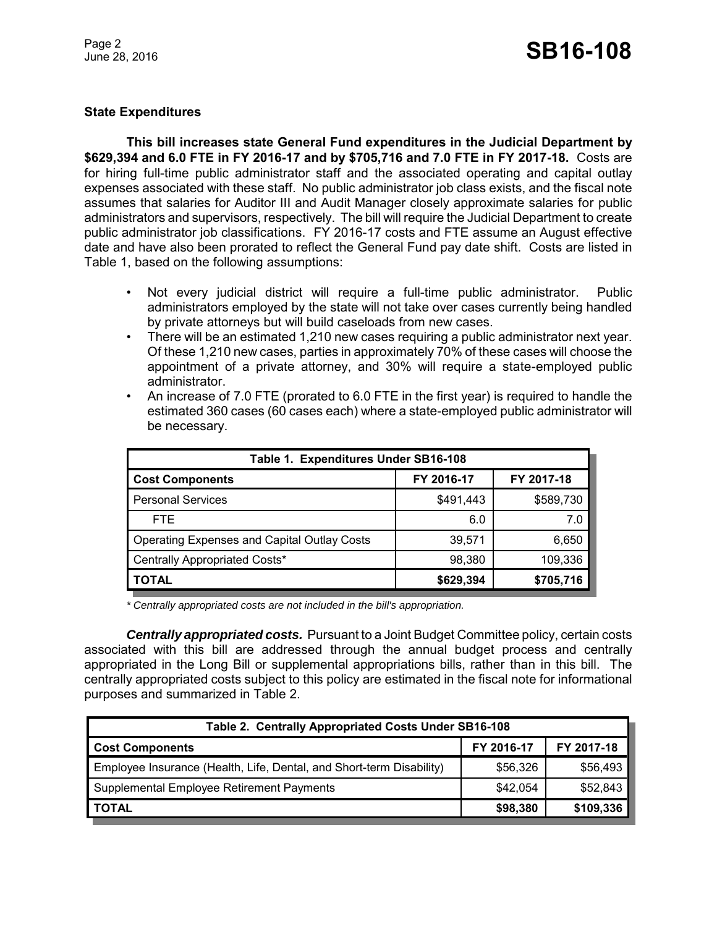#### **State Expenditures**

**This bill increases state General Fund expenditures in the Judicial Department by \$629,394 and 6.0 FTE in FY 2016-17 and by \$705,716 and 7.0 FTE in FY 2017-18.** Costs are for hiring full-time public administrator staff and the associated operating and capital outlay expenses associated with these staff. No public administrator job class exists, and the fiscal note assumes that salaries for Auditor III and Audit Manager closely approximate salaries for public administrators and supervisors, respectively. The bill will require the Judicial Department to create public administrator job classifications. FY 2016-17 costs and FTE assume an August effective date and have also been prorated to reflect the General Fund pay date shift. Costs are listed in Table 1, based on the following assumptions:

- Not every judicial district will require a full-time public administrator. Public administrators employed by the state will not take over cases currently being handled by private attorneys but will build caseloads from new cases.
- There will be an estimated 1,210 new cases requiring a public administrator next year. Of these 1,210 new cases, parties in approximately 70% of these cases will choose the appointment of a private attorney, and 30% will require a state-employed public administrator.
- An increase of 7.0 FTE (prorated to 6.0 FTE in the first year) is required to handle the estimated 360 cases (60 cases each) where a state-employed public administrator will be necessary.

| Table 1. Expenditures Under SB16-108               |            |            |  |  |  |  |
|----------------------------------------------------|------------|------------|--|--|--|--|
| <b>Cost Components</b>                             | FY 2016-17 | FY 2017-18 |  |  |  |  |
| <b>Personal Services</b>                           | \$491,443  | \$589,730  |  |  |  |  |
| FTE.                                               | 6.0        | 7.0        |  |  |  |  |
| <b>Operating Expenses and Capital Outlay Costs</b> | 39,571     | 6,650      |  |  |  |  |
| Centrally Appropriated Costs*                      | 98,380     | 109,336    |  |  |  |  |
| <b>TOTAL</b>                                       | \$629,394  | \$705,716  |  |  |  |  |

*\* Centrally appropriated costs are not included in the bill's appropriation.*

*Centrally appropriated costs.* Pursuant to a Joint Budget Committee policy, certain costs associated with this bill are addressed through the annual budget process and centrally appropriated in the Long Bill or supplemental appropriations bills, rather than in this bill. The centrally appropriated costs subject to this policy are estimated in the fiscal note for informational purposes and summarized in Table 2.

| Table 2. Centrally Appropriated Costs Under SB16-108                 |            |            |  |  |  |
|----------------------------------------------------------------------|------------|------------|--|--|--|
| <b>Cost Components</b>                                               | FY 2016-17 | FY 2017-18 |  |  |  |
| Employee Insurance (Health, Life, Dental, and Short-term Disability) | \$56,326   | \$56,493   |  |  |  |
| Supplemental Employee Retirement Payments                            | \$42,054   | \$52,843   |  |  |  |
| <b>TOTAL</b>                                                         | \$98,380   | \$109,336  |  |  |  |